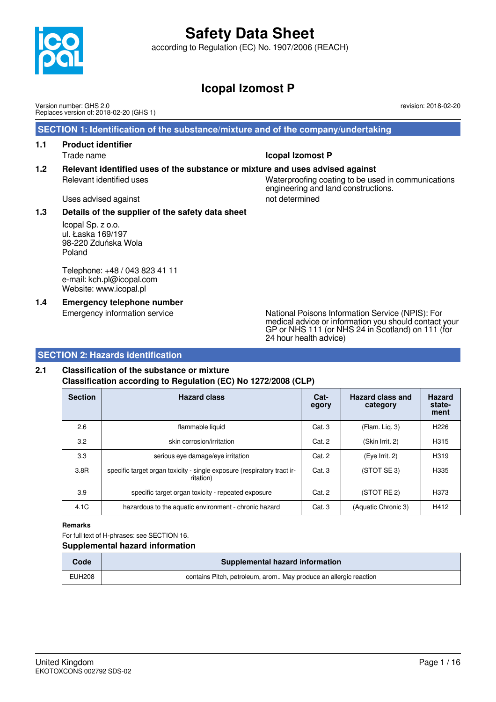according to Regulation (EC) No. 1907/2006 (REACH)

# **Icopal Izomost P**

Version number: GHS 2.0 Replaces version of: 2018-02-20 (GHS 1)

### **SECTION 1: Identification of the substance/mixture and of the company/undertaking**

- **1.1 Product identifier** Trade name **Icopal Izomost P**
- **1.2 Relevant identified uses of the substance or mixture and uses advised against** Relevant identified uses Waterproofing coating to be used in communications engineering and land constructions.

Uses advised against not determined

### **1.3 Details of the supplier of the safety data sheet**

Icopal Sp. z o.o. ul. Łaska 169/197 98-220 Zduńska Wola Poland

Telephone: +48 / 043 823 41 11 e-mail: kch.pl@icopal.com Website: www.icopal.pl

**1.4 Emergency telephone number**

Emergency information service National Poisons Information Service (NPIS): For medical advice or information you should contact your GP or NHS 111 (or NHS 24 in Scotland) on 111 (for 24 hour health advice)

### **SECTION 2: Hazards identification**

## **2.1 Classification of the substance or mixture Classification according to Regulation (EC) No 1272/2008 (CLP)**

| <b>Section</b> | <b>Hazard class</b>                                                                  | Cat-<br>egory | <b>Hazard class and</b><br>category | <b>Hazard</b><br>state-<br>ment |
|----------------|--------------------------------------------------------------------------------------|---------------|-------------------------------------|---------------------------------|
| 2.6            | flammable liquid                                                                     | Cat.3         | (Flam. Lig. 3)                      | H <sub>226</sub>                |
| 3.2            | skin corrosion/irritation                                                            | Cat. 2        | (Skin Irrit. 2)                     | H315                            |
| 3.3            | serious eye damage/eye irritation                                                    | Cat. 2        | (Eye Irrit. 2)                      | H319                            |
| 3.8R           | specific target organ toxicity - single exposure (respiratory tract ir-<br>ritation) | Cat.3         | (STOT SE 3)                         | H335                            |
| 3.9            | specific target organ toxicity - repeated exposure                                   | Cat. 2        | (STOT RE 2)                         | H373                            |
| 4.1C           | hazardous to the aquatic environment - chronic hazard                                | Cat.3         | (Aquatic Chronic 3)                 | H412                            |

#### **Remarks**

For full text of H-phrases: see SECTION 16.

#### **Supplemental hazard information**

| <b>Code</b> | Supplemental hazard information                                  |
|-------------|------------------------------------------------------------------|
| EUH208      | contains Pitch, petroleum, arom May produce an allergic reaction |



revision: 2018-02-20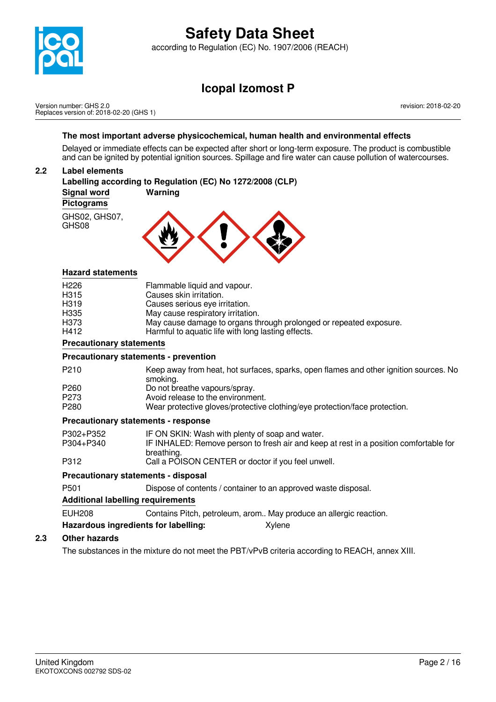

according to Regulation (EC) No. 1907/2006 (REACH)

# **Icopal Izomost P**

Version number: GHS 2.0 Replaces version of: 2018-02-20 (GHS 1) revision: 2018-02-20

### **The most important adverse physicochemical, human health and environmental effects**

Delayed or immediate effects can be expected after short or long-term exposure. The product is combustible and can be ignited by potential ignition sources. Spillage and fire water can cause pollution of watercourses.

### **2.2 Label elements**

**Labelling according to Regulation (EC) No 1272/2008 (CLP) Signal word Warning Pictograms** GHS02, GHS07, GHS08

### **Hazard statements**

| Dua a a utia ma muata ta magasta |                                                                    |
|----------------------------------|--------------------------------------------------------------------|
| H412                             | Harmful to aquatic life with long lasting effects.                 |
| H <sub>373</sub>                 | May cause damage to organs through prolonged or repeated exposure. |
| H335                             | May cause respiratory irritation.                                  |
| H <sub>3</sub> 19                | Causes serious eye irritation.                                     |
| H <sub>315</sub>                 | Causes skin irritation.                                            |
| H <sub>226</sub>                 | Flammable liquid and vapour.                                       |
|                                  |                                                                    |

### **Precautionary statements**

#### **Precautionary statements - prevention**

- P210 Keep away from heat, hot surfaces, sparks, open flames and other ignition sources. No smoking.
- 
- P260 Do not breathe vapours/spray.<br>P273 Avoid release to the environment
- P273 Avoid release to the environment.<br>P280 Wear protective gloves/protective Wear protective gloves/protective clothing/eye protection/face protection.

### **Precautionary statements - response**

| P302+P352 | IF ON SKIN: Wash with plenty of soap and water.                                       |
|-----------|---------------------------------------------------------------------------------------|
| P304+P340 | IF INHALED: Remove person to fresh air and keep at rest in a position comfortable for |
|           | breathing.                                                                            |
| P312      | Call a POISON CENTER or doctor if you feel unwell.                                    |

### **Precautionary statements - disposal**

P501 Dispose of contents / container to an approved waste disposal.

### **Additional labelling requirements**

EUH208 Contains Pitch, petroleum, arom.. May produce an allergic reaction.

### **Hazardous ingredients for labelling:** Xylene

### **2.3 Other hazards**

The substances in the mixture do not meet the PBT/vPvB criteria according to REACH, annex XIII.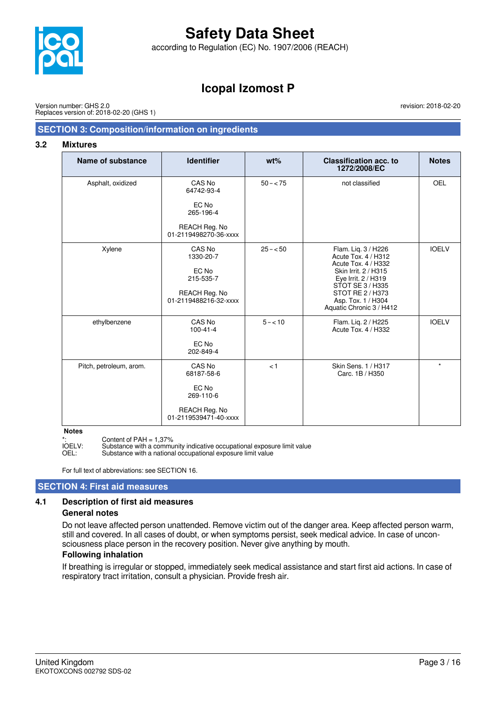

according to Regulation (EC) No. 1907/2006 (REACH)

# **Icopal Izomost P**

Version number: GHS 2.0 Replaces version of: 2018-02-20 (GHS 1) revision: 2018-02-20

### **SECTION 3: Composition/information on ingredients**

#### **3.2 Mixtures**

| <b>Name of substance</b> | <b>Identifier</b>                             | $wt\%$      | <b>Classification acc. to</b><br>1272/2008/EC                                                                                        | <b>Notes</b> |
|--------------------------|-----------------------------------------------|-------------|--------------------------------------------------------------------------------------------------------------------------------------|--------------|
| Asphalt, oxidized        | CAS No<br>64742-93-4                          | $50 - < 75$ | not classified                                                                                                                       | <b>OEL</b>   |
|                          | EC No<br>265-196-4                            |             |                                                                                                                                      |              |
|                          | REACH Reg. No<br>01-2119498270-36-xxxx        |             |                                                                                                                                      |              |
| Xylene                   | CAS No<br>1330-20-7<br>EC No<br>215-535-7     | $25 - 50$   | Flam. Lig. 3 / H226<br>Acute Tox. 4 / H312<br>Acute Tox. 4 / H332<br>Skin Irrit. 2 / H315<br>Eye Irrit. 2 / H319<br>STOT SE 3 / H335 | <b>IOELV</b> |
|                          | REACH Reg. No<br>01-2119488216-32-xxxx        |             | STOT RE 2 / H373<br>Asp. Tox. 1 / H304<br>Aquatic Chronic 3 / H412                                                                   |              |
| ethylbenzene             | CAS No<br>$100 - 41 - 4$                      | $5 - 10$    | Flam. Lig. 2 / H225<br>Acute Tox. 4 / H332                                                                                           | <b>IOELV</b> |
|                          | EC No<br>202-849-4                            |             |                                                                                                                                      |              |
| Pitch, petroleum, arom.  | CAS No<br>68187-58-6                          | < 1         | Skin Sens. 1 / H317<br>Carc. 1B / H350                                                                                               | $\star$      |
|                          | EC No<br>269-110-6                            |             |                                                                                                                                      |              |
|                          | <b>REACH Reg. No</b><br>01-2119539471-40-xxxx |             |                                                                                                                                      |              |

**Notes**

\*: Content of PAH = 1,37%<br>IOELV: Substance with a commu IOELV: Substance with a community indicative occupational exposure limit value<br>OEL: Substance with a national occupational exposure limit value

Substance with a national occupational exposure limit value

For full text of abbreviations: see SECTION 16.

### **SECTION 4: First aid measures**

### **4.1 Description of first aid measures**

#### **General notes**

Do not leave affected person unattended. Remove victim out of the danger area. Keep affected person warm, still and covered. In all cases of doubt, or when symptoms persist, seek medical advice. In case of unconsciousness place person in the recovery position. Never give anything by mouth.

### **Following inhalation**

If breathing is irregular or stopped, immediately seek medical assistance and start first aid actions. In case of respiratory tract irritation, consult a physician. Provide fresh air.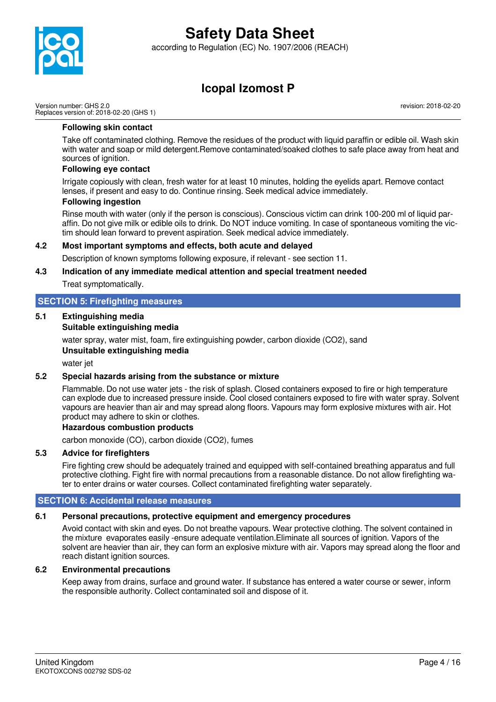

according to Regulation (EC) No. 1907/2006 (REACH)

# **Icopal Izomost P**

Version number: GHS 2.0 Replaces version of: 2018-02-20 (GHS 1) revision: 2018-02-20

### **Following skin contact**

Take off contaminated clothing. Remove the residues of the product with liquid paraffin or edible oil. Wash skin with water and soap or mild detergent.Remove contaminated/soaked clothes to safe place away from heat and sources of ignition.

### **Following eye contact**

Irrigate copiously with clean, fresh water for at least 10 minutes, holding the eyelids apart. Remove contact lenses, if present and easy to do. Continue rinsing. Seek medical advice immediately.

### **Following ingestion**

Rinse mouth with water (only if the person is conscious). Conscious victim can drink 100-200 ml of liquid paraffin. Do not give milk or edible oils to drink. Do NOT induce vomiting. In case of spontaneous vomiting the victim should lean forward to prevent aspiration. Seek medical advice immediately.

### **4.2 Most important symptoms and effects, both acute and delayed**

Description of known symptoms following exposure, if relevant - see section 11.

### **4.3 Indication of any immediate medical attention and special treatment needed**

Treat symptomatically.

### **SECTION 5: Firefighting measures**

## **5.1 Extinguishing media**

### **Suitable extinguishing media**

water spray, water mist, foam, fire extinguishing powder, carbon dioxide (CO2), sand

### **Unsuitable extinguishing media**

water jet

### **5.2 Special hazards arising from the substance or mixture**

Flammable. Do not use water jets - the risk of splash. Closed containers exposed to fire or high temperature can explode due to increased pressure inside. Cool closed containers exposed to fire with water spray. Solvent vapours are heavier than air and may spread along floors. Vapours may form explosive mixtures with air. Hot product may adhere to skin or clothes.

### **Hazardous combustion products**

carbon monoxide (CO), carbon dioxide (CO2), fumes

### **5.3 Advice for firefighters**

Fire fighting crew should be adequately trained and equipped with self-contained breathing apparatus and full protective clothing. Fight fire with normal precautions from a reasonable distance. Do not allow firefighting water to enter drains or water courses. Collect contaminated firefighting water separately.

### **SECTION 6: Accidental release measures**

## **6.1 Personal precautions, protective equipment and emergency procedures**

Avoid contact with skin and eyes. Do not breathe vapours. Wear protective clothing. The solvent contained in the mixture evaporates easily -ensure adequate ventilation.Eliminate all sources of ignition. Vapors of the solvent are heavier than air, they can form an explosive mixture with air. Vapors may spread along the floor and reach distant ignition sources.

## **6.2 Environmental precautions**

Keep away from drains, surface and ground water. If substance has entered a water course or sewer, inform the responsible authority. Collect contaminated soil and dispose of it.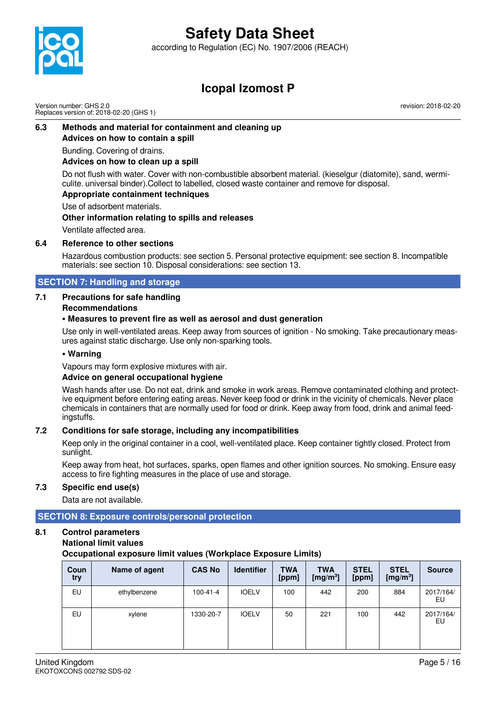

according to Regulation (EC) No. 1907/2006 (REACH)



## **Icopal Izomost P**

Version number: GHS 2.0 Replaces version of: 2018-02-20 (GHS 1) revision: 2018-02-20

### **6.3 Methods and material for containment and cleaning up Advices on how to contain a spill**

Bunding. Covering of drains.

### **Advices on how to clean up a spill**

Do not flush with water. Cover with non-combustible absorbent material. (kieselgur (diatomite), sand, wermiculite. universal binder).Collect to labelled, closed waste container and remove for disposal.

### **Appropriate containment techniques**

Use of adsorbent materials.

**Other information relating to spills and releases**

Ventilate affected area.

### **6.4 Reference to other sections**

Hazardous combustion products: see section 5. Personal protective equipment: see section 8. Incompatible materials: see section 10. Disposal considerations: see section 13.

### **SECTION 7: Handling and storage**

### **7.1 Precautions for safe handling**

### **Recommendations**

### **• Measures to prevent fire as well as aerosol and dust generation**

Use only in well-ventilated areas. Keep away from sources of ignition - No smoking. Take precautionary measures against static discharge. Use only non-sparking tools.

### **• Warning**

Vapours may form explosive mixtures with air.

### **Advice on general occupational hygiene**

Wash hands after use. Do not eat, drink and smoke in work areas. Remove contaminated clothing and protective equipment before entering eating areas. Never keep food or drink in the vicinity of chemicals. Never place chemicals in containers that are normally used for food or drink. Keep away from food, drink and animal feedingstuffs.

### **7.2 Conditions for safe storage, including any incompatibilities**

Keep only in the original container in a cool, well-ventilated place. Keep container tightly closed. Protect from sunlight.

Keep away from heat, hot surfaces, sparks, open flames and other ignition sources. No smoking. Ensure easy access to fire fighting measures in the place of use and storage.

### **7.3 Specific end use(s)**

Data are not available.

### **SECTION 8: Exposure controls/personal protection**

### **8.1 Control parameters**

### **National limit values**

**Occupational exposure limit values (Workplace Exposure Limits)**

| Coun<br>try | Name of agent | <b>CAS No</b> | <b>Identifier</b> | <b>TWA</b><br>[ppm] | <b>TWA</b><br>[mg/m <sup>3</sup> ] | <b>STEL</b><br>[ppm] | <b>STEL</b><br>[mg/m <sup>3</sup> ] | <b>Source</b>   |
|-------------|---------------|---------------|-------------------|---------------------|------------------------------------|----------------------|-------------------------------------|-----------------|
| EU          | ethylbenzene  | 100-41-4      | <b>IOELV</b>      | 100                 | 442                                | 200                  | 884                                 | 2017/164/<br>EU |
| EU          | xylene        | 1330-20-7     | <b>IOELV</b>      | 50                  | 221                                | 100                  | 442                                 | 2017/164/<br>EU |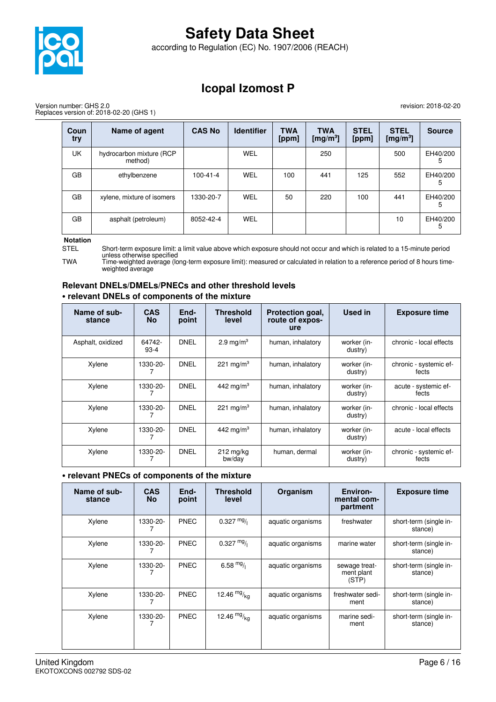

according to Regulation (EC) No. 1907/2006 (REACH)

## **Icopal Izomost P**

Version number: GHS 2.0 Replaces version of: 2018-02-20 (GHS 1) revision: 2018-02-20

| Coun<br>try | Name of agent                       | <b>CAS No</b>  | <b>Identifier</b> | <b>TWA</b><br>[ppm] | <b>TWA</b><br>[mg/m <sup>3</sup> ] | <b>STEL</b><br>[ppm] | <b>STEL</b><br>[mg/m <sup>3</sup> ] | <b>Source</b> |
|-------------|-------------------------------------|----------------|-------------------|---------------------|------------------------------------|----------------------|-------------------------------------|---------------|
| UK          | hydrocarbon mixture (RCP<br>method) |                | <b>WEL</b>        |                     | 250                                |                      | 500                                 | EH40/200<br>5 |
| GB          | ethylbenzene                        | $100 - 41 - 4$ | <b>WEL</b>        | 100                 | 441                                | 125                  | 552                                 | EH40/200<br>5 |
| GB          | xylene, mixture of isomers          | 1330-20-7      | WEL               | 50                  | 220                                | 100                  | 441                                 | EH40/200<br>5 |
| GB          | asphalt (petroleum)                 | 8052-42-4      | <b>WEL</b>        |                     |                                    |                      | 10                                  | EH40/200<br>5 |

#### **Notation**

STEL Short-term exposure limit: a limit value above which exposure should not occur and which is related to a 15-minute period unless otherwise specified

TWA Time-weighted average (long-term exposure limit): measured or calculated in relation to a reference period of 8 hours timeweighted average

### **Relevant DNELs/DMELs/PNECs and other threshold levels • relevant DNELs of components of the mixture**

| Name of sub-<br>stance | <b>CAS</b><br><b>No</b> | End-<br>point | Threshold<br>level            | Protection goal,<br>route of expos-<br>ure | Used in                | <b>Exposure time</b>            |
|------------------------|-------------------------|---------------|-------------------------------|--------------------------------------------|------------------------|---------------------------------|
| Asphalt, oxidized      | 64742-<br>$93-4$        | DNEL          | 2.9 mg/m <sup>3</sup>         | human, inhalatory                          | worker (in-<br>dustry) | chronic - local effects         |
| Xylene                 | 1330-20-                | DNEL          | 221 mg/m <sup>3</sup>         | human, inhalatory                          | worker (in-<br>dustry) | chronic - systemic ef-<br>fects |
| Xylene                 | 1330-20-                | <b>DNEL</b>   | 442 mg/m <sup>3</sup>         | human, inhalatory                          | worker (in-<br>dustry) | acute - systemic ef-<br>fects   |
| Xylene                 | 1330-20-                | DNEL          | 221 mg/m <sup>3</sup>         | human, inhalatory                          | worker (in-<br>dustry) | chronic - local effects         |
| Xylene                 | 1330-20-                | <b>DNEL</b>   | 442 mg/m <sup>3</sup>         | human, inhalatory                          | worker (in-<br>dustry) | acute - local effects           |
| Xylene                 | 1330-20-                | <b>DNEL</b>   | $212 \text{ mg/kg}$<br>bw/day | human, dermal                              | worker (in-<br>dustry) | chronic - systemic ef-<br>fects |

### **• relevant PNECs of components of the mixture**

| Name of sub-<br>stance | <b>CAS</b><br><b>No</b> | End-<br>point | <b>Threshold</b><br>level | Organism          | Environ-<br>mental com-<br>partment  | <b>Exposure time</b>              |
|------------------------|-------------------------|---------------|---------------------------|-------------------|--------------------------------------|-----------------------------------|
| Xylene                 | 1330-20-                | <b>PNEC</b>   | $0.327 \frac{mg}{l}$      | aquatic organisms | freshwater                           | short-term (single in-<br>stance) |
| Xylene                 | 1330-20-                | <b>PNEC</b>   | $0.327 \frac{mg}{l}$      | aquatic organisms | marine water                         | short-term (single in-<br>stance) |
| Xylene                 | 1330-20-                | <b>PNEC</b>   | 6.58 $mg/1$               | aquatic organisms | sewage treat-<br>ment plant<br>(STP) | short-term (single in-<br>stance) |
| Xylene                 | 1330-20-                | <b>PNEC</b>   | 12.46 $mg/kq$             | aquatic organisms | freshwater sedi-<br>ment             | short-term (single in-<br>stance) |
| Xylene                 | 1330-20-                | <b>PNEC</b>   | 12.46 $mg/kq$             | aquatic organisms | marine sedi-<br>ment                 | short-term (single in-<br>stance) |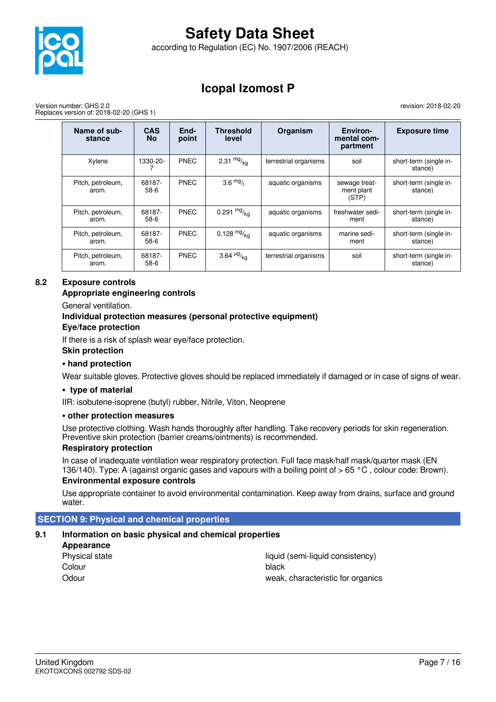

according to Regulation (EC) No. 1907/2006 (REACH)

# **Icopal Izomost P**

Version number: GHS 2.0 Replaces version of: 2018-02-20 (GHS 1) revision: 2018-02-20

| Name of sub-<br>stance     | <b>CAS</b><br><b>No</b> | End-<br>point | <b>Threshold</b><br>level | Organism              | Environ-<br>mental com-<br>partment  | <b>Exposure time</b>              |
|----------------------------|-------------------------|---------------|---------------------------|-----------------------|--------------------------------------|-----------------------------------|
| Xylene                     | 1330-20-                | <b>PNEC</b>   | 2.31 $mg/kq$              | terrestrial organisms | soil                                 | short-term (single in-<br>stance) |
| Pitch, petroleum,<br>arom. | 68187-<br>$58-6$        | <b>PNEC</b>   | $3.6 \frac{mg}{l}$        | aquatic organisms     | sewage treat-<br>ment plant<br>(STP) | short-term (single in-<br>stance) |
| Pitch, petroleum,<br>arom. | 68187-<br>58-6          | <b>PNEC</b>   | 0.291 $mg/kq$             | aquatic organisms     | freshwater sedi-<br>ment             | short-term (single in-<br>stance) |
| Pitch, petroleum,<br>arom. | 68187-<br>$58-6$        | <b>PNEC</b>   | 0.128 $mg/kq$             | aquatic organisms     | marine sedi-<br>ment                 | short-term (single in-<br>stance) |
| Pitch, petroleum,<br>arom. | 68187-<br>58-6          | <b>PNEC</b>   | 3.64 $\frac{\mu g}{ka}$   | terrestrial organisms | soil                                 | short-term (single in-<br>stance) |

### **8.2 Exposure controls**

### **Appropriate engineering controls**

General ventilation.

## **Individual protection measures (personal protective equipment)**

### **Eye/face protection**

If there is a risk of splash wear eye/face protection.

#### **Skin protection**

### **• hand protection**

Wear suitable gloves. Protective gloves should be replaced immediately if damaged or in case of signs of wear.

### **• type of material**

IIR: isobutene-isoprene (butyl) rubber, Nitrile, Viton, Neoprene

### **• other protection measures**

Use protective clothing. Wash hands thoroughly after handling. Take recovery periods for skin regeneration. Preventive skin protection (barrier creams/ointments) is recommended.

### **Respiratory protection**

In case of inadequate ventilation wear respiratory protection. Full face mask/half mask/quarter mask (EN 136/140). Type: A (against organic gases and vapours with a boiling point of > 65 °C , colour code: Brown).

### **Environmental exposure controls**

Use appropriate container to avoid environmental contamination. Keep away from drains, surface and ground water.

### **SECTION 9: Physical and chemical properties**

## **9.1 Information on basic physical and chemical properties**

| Appearance     |        |
|----------------|--------|
| Physical state | liquid |
| Colour         | black  |
| Odour          | weak   |

liquid (semi-liquid consistency) weak, characteristic for organics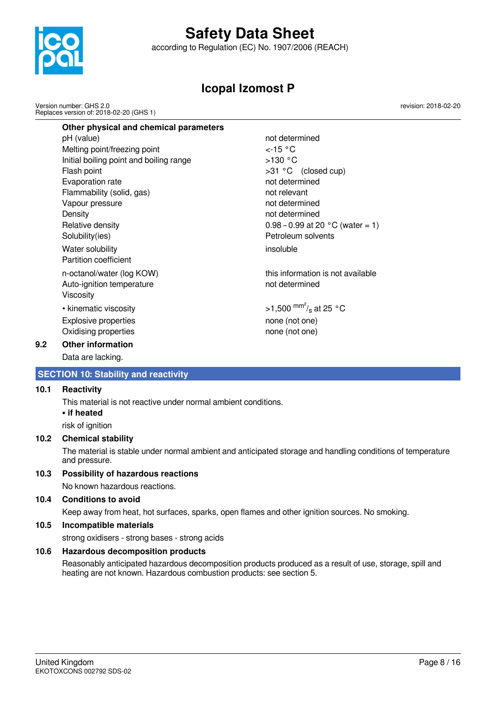

according to Regulation (EC) No. 1907/2006 (REACH)

# **Icopal Izomost P**

Version number: GHS 2.0 Replaces version of: 2018-02-20 (GHS 1) revision: 2018-02-20

| Other physical and chemical parameters  |                                    |
|-----------------------------------------|------------------------------------|
| pH (value)                              | not determined                     |
| Melting point/freezing point            | $\lt$ -15 °C                       |
| Initial boiling point and boiling range | >130 °C                            |
| Flash point                             | >31 °C (closed cup)                |
| Evaporation rate                        | not determined                     |
| Flammability (solid, gas)               | not relevant                       |
| Vapour pressure                         | not determined                     |
| Density                                 | not determined                     |
| Relative density                        | $0.98 - 0.99$ at 20 °C (water = 1) |
| Solubility(ies)                         | Petroleum solvents                 |
| Water solubility                        | insoluble                          |
| Partition coefficient                   |                                    |
| n-octanol/water (log KOW)               | this information is not available  |
| Auto-ignition temperature               | not determined                     |
| Viscosity                               |                                    |
| • kinematic viscosity                   | >1,500 $\rm{^{mm'}s}$ at 25 °C     |
| <b>Explosive properties</b>             | none (not one)                     |
| Oxidising properties                    | none (not one)                     |

### **9.2 Other information**

Data are lacking.

### **SECTION 10: Stability and reactivity**

### **10.1 Reactivity**

This material is not reactive under normal ambient conditions.

**• if heated**

risk of ignition

### **10.2 Chemical stability**

The material is stable under normal ambient and anticipated storage and handling conditions of temperature and pressure.

## **10.3 Possibility of hazardous reactions**

No known hazardous reactions.

### **10.4 Conditions to avoid**

Keep away from heat, hot surfaces, sparks, open flames and other ignition sources. No smoking.

## **10.5 Incompatible materials**

strong oxidisers - strong bases - strong acids

## **10.6 Hazardous decomposition products**

Reasonably anticipated hazardous decomposition products produced as a result of use, storage, spill and heating are not known. Hazardous combustion products: see section 5.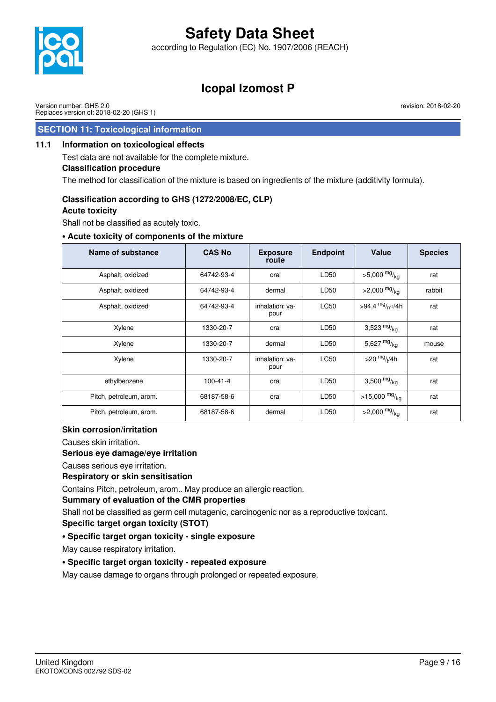

according to Regulation (EC) No. 1907/2006 (REACH)



## **Icopal Izomost P**

Version number: GHS 2.0 Replaces version of: 2018-02-20 (GHS 1) revision: 2018-02-20

## **SECTION 11: Toxicological information**

### **11.1 Information on toxicological effects**

Test data are not available for the complete mixture.

### **Classification procedure**

The method for classification of the mixture is based on ingredients of the mixture (additivity formula).

### **Classification according to GHS (1272/2008/EC, CLP)**

#### **Acute toxicity**

Shall not be classified as acutely toxic.

### **• Acute toxicity of components of the mixture**

| Name of substance       | <b>CAS No</b> | <b>Exposure</b><br>route | <b>Endpoint</b> | Value                          | <b>Species</b> |
|-------------------------|---------------|--------------------------|-----------------|--------------------------------|----------------|
| Asphalt, oxidized       | 64742-93-4    | oral                     | LD50            | $>5,000$ mg/ <sub>kg</sub>     | rat            |
| Asphalt, oxidized       | 64742-93-4    | dermal                   | LD50            | $>2,000$ mg/ <sub>kg</sub>     | rabbit         |
| Asphalt, oxidized       | 64742-93-4    | inhalation: va-<br>pour  | <b>LC50</b>     | >94.4 $mg/m^{3}/4h$            | rat            |
| Xylene                  | 1330-20-7     | oral                     | LD50            | 3,523 $mg/kg$                  | rat            |
| Xylene                  | 1330-20-7     | dermal                   | LD50            | 5,627 $mg/kq$                  | mouse          |
| Xylene                  | 1330-20-7     | inhalation: va-<br>pour  | <b>LC50</b>     | $>$ 20 $mg$ / <sub>I</sub> /4h | rat            |
| ethylbenzene            | 100-41-4      | oral                     | LD50            | 3,500 $mg/kq$                  | rat            |
| Pitch, petroleum, arom. | 68187-58-6    | oral                     | LD50            | $>15,000$ mg/ <sub>kg</sub>    | rat            |
| Pitch, petroleum, arom. | 68187-58-6    | dermal                   | LD50            | $>2,000$ mg/ <sub>kg</sub>     | rat            |

### **Skin corrosion/irritation**

Causes skin irritation.

### **Serious eye damage/eye irritation**

Causes serious eye irritation.

### **Respiratory or skin sensitisation**

Contains Pitch, petroleum, arom.. May produce an allergic reaction.

### **Summary of evaluation of the CMR properties**

Shall not be classified as germ cell mutagenic, carcinogenic nor as a reproductive toxicant.

**Specific target organ toxicity (STOT)**

### **• Specific target organ toxicity - single exposure**

May cause respiratory irritation.

### **• Specific target organ toxicity - repeated exposure**

May cause damage to organs through prolonged or repeated exposure.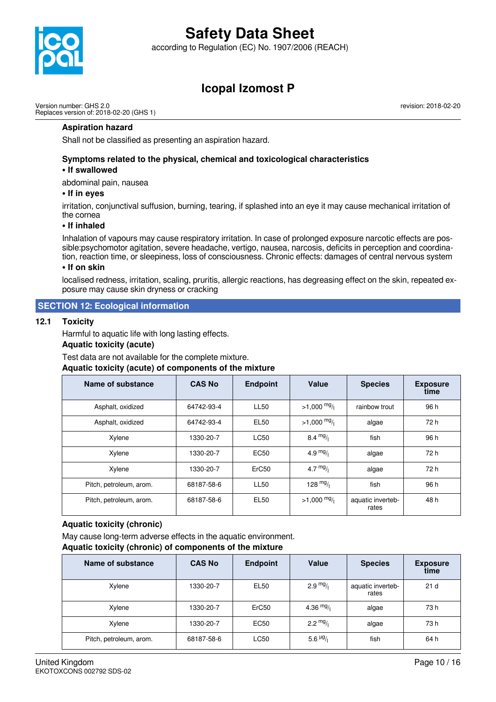

according to Regulation (EC) No. 1907/2006 (REACH)

# **Icopal Izomost P**

Version number: GHS 2.0 Replaces version of: 2018-02-20 (GHS 1) revision: 2018-02-20

#### **Aspiration hazard**

Shall not be classified as presenting an aspiration hazard.

### **Symptoms related to the physical, chemical and toxicological characteristics**

### **• If swallowed**

abdominal pain, nausea

#### **• If in eyes**

irritation, conjunctival suffusion, burning, tearing, if splashed into an eye it may cause mechanical irritation of the cornea

#### **• If inhaled**

Inhalation of vapours may cause respiratory irritation. In case of prolonged exposure narcotic effects are possible:psychomotor agitation, severe headache, vertigo, nausea, narcosis, deficits in perception and coordination, reaction time, or sleepiness, loss of consciousness. Chronic effects: damages of central nervous system

#### **• If on skin**

localised redness, irritation, scaling, pruritis, allergic reactions, has degreasing effect on the skin, repeated exposure may cause skin dryness or cracking

### **SECTION 12: Ecological information**

#### **12.1 Toxicity**

Harmful to aquatic life with long lasting effects.

### **Aquatic toxicity (acute)**

Test data are not available for the complete mixture.

#### **Aquatic toxicity (acute) of components of the mixture**

| Name of substance       | <b>CAS No</b> | <b>Endpoint</b>   | Value              | <b>Species</b>             | <b>Exposure</b><br>time |
|-------------------------|---------------|-------------------|--------------------|----------------------------|-------------------------|
| Asphalt, oxidized       | 64742-93-4    | <b>LL50</b>       | $>1,000$ mg/       | rainbow trout              | 96 h                    |
| Asphalt, oxidized       | 64742-93-4    | <b>EL50</b>       | $>1,000$ mg/       | algae                      | 72 h                    |
| Xylene                  | 1330-20-7     | <b>LC50</b>       | 8.4 $mg/$          | fish                       | 96 h                    |
| Xylene                  | 1330-20-7     | <b>EC50</b>       | 4.9 $mg/1$         | algae                      | 72 h                    |
| Xylene                  | 1330-20-7     | ErC <sub>50</sub> | 4.7 $mg/1$         | algae                      | 72 h                    |
| Pitch, petroleum, arom. | 68187-58-6    | <b>LL50</b>       | $128 \frac{mg}{l}$ | fish                       | 96 h                    |
| Pitch, petroleum, arom. | 68187-58-6    | EL <sub>50</sub>  | $>1,000$ mg/       | aquatic inverteb-<br>rates | 48 h                    |

#### **Aquatic toxicity (chronic)**

May cause long-term adverse effects in the aquatic environment.

#### **Aquatic toxicity (chronic) of components of the mixture**

| Name of substance       | <b>CAS No</b> | <b>Endpoint</b>   | <b>Value</b>          | <b>Species</b>             | <b>Exposure</b><br>time |
|-------------------------|---------------|-------------------|-----------------------|----------------------------|-------------------------|
| Xylene                  | 1330-20-7     | EL <sub>50</sub>  | 2.9 $mg/$             | aquatic inverteb-<br>rates | 21 <sub>d</sub>         |
| Xylene                  | 1330-20-7     | ErC <sub>50</sub> | 4.36 $mg/$            | algae                      | 73 h                    |
| Xylene                  | 1330-20-7     | EC50              | 2.2 $mg/1$            | algae                      | 73 h                    |
| Pitch, petroleum, arom. | 68187-58-6    | <b>LC50</b>       | 5.6 $\frac{\mu g}{I}$ | fish                       | 64 h                    |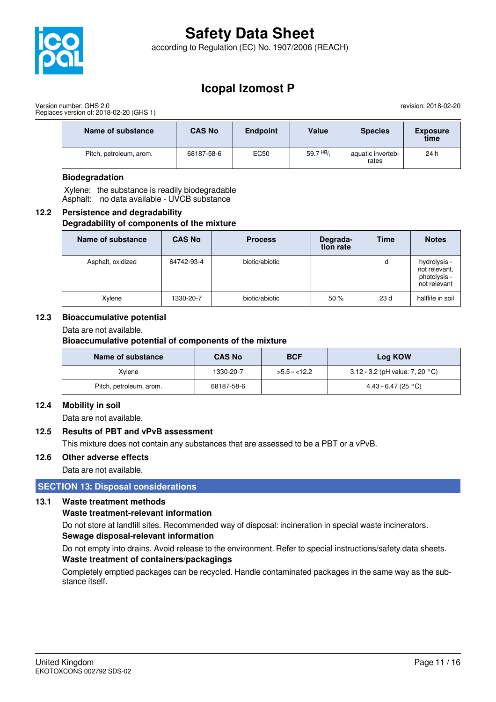

according to Regulation (EC) No. 1907/2006 (REACH)

## **Icopal Izomost P**

Version number: GHS 2.0 Replaces version of: 2018-02-20 (GHS 1) revision: 2018-02-20

| Name of substance       | <b>CAS No</b> | <b>Endpoint</b> | Value                      | <b>Species</b>             | <b>Exposure</b><br>time |
|-------------------------|---------------|-----------------|----------------------------|----------------------------|-------------------------|
| Pitch, petroleum, arom. | 68187-58-6    | EC50            | 59.7 $\mu$ <sup>g</sup> /i | aquatic inverteb-<br>rates | 24 h                    |

### **Biodegradation**

 Xylene: the substance is readily biodegradable Asphalt: no data available - UVCB substance

### **12.2 Persistence and degradability Degradability of components of the mixture**

| Name of substance | <b>CAS No</b> | <b>Process</b> | Degrada-<br>tion rate | <b>Time</b> | <b>Notes</b>                                                  |
|-------------------|---------------|----------------|-----------------------|-------------|---------------------------------------------------------------|
| Asphalt, oxidized | 64742-93-4    | biotic/abiotic |                       | d           | hydrolysis -<br>not relevant,<br>photolysis -<br>not relevant |
| Xylene            | 1330-20-7     | biotic/abiotic | 50%                   | 23 d        | halflife in soil                                              |

### **12.3 Bioaccumulative potential**

Data are not available.

**Bioaccumulative potential of components of the mixture**

| Name of substance       | <b>CAS No</b> | <b>BCF</b>    | Log KOW                                   |
|-------------------------|---------------|---------------|-------------------------------------------|
| Xvlene                  | 1330-20-7     | $>5.5 - 12.2$ | 3.12 – 3.2 (pH value: 7, 20 $^{\circ}$ C) |
| Pitch, petroleum, arom. | 68187-58-6    |               | $4.43 - 6.47$ (25 °C)                     |

### **12.4 Mobility in soil**

Data are not available.

### **12.5 Results of PBT and vPvB assessment**

This mixture does not contain any substances that are assessed to be a PBT or a vPvB.

### **12.6 Other adverse effects**

Data are not available.

### **SECTION 13: Disposal considerations**

### **13.1 Waste treatment methods**

### **Waste treatment-relevant information**

Do not store at landfill sites. Recommended way of disposal: incineration in special waste incinerators. **Sewage disposal-relevant information**

Do not empty into drains. Avoid release to the environment. Refer to special instructions/safety data sheets. **Waste treatment of containers/packagings**

Completely emptied packages can be recycled. Handle contaminated packages in the same way as the substance itself.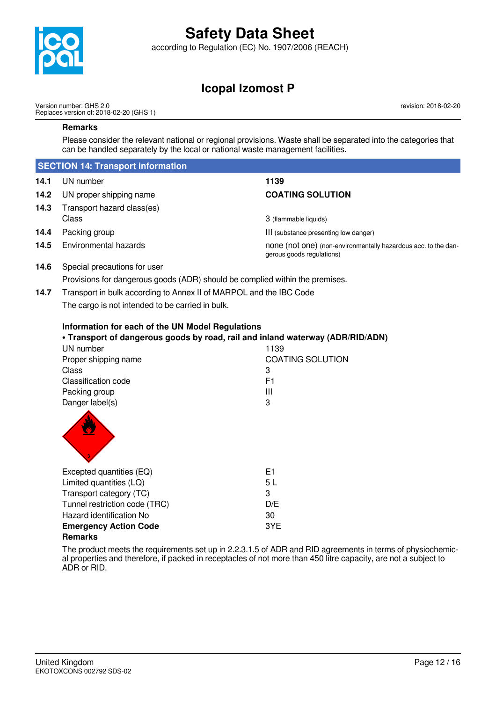

according to Regulation (EC) No. 1907/2006 (REACH)

# **Icopal Izomost P**

Version number: GHS 2.0 Replaces version of: 2018-02-20 (GHS 1) revision: 2018-02-20

### **Remarks**

Please consider the relevant national or regional provisions. Waste shall be separated into the categories that can be handled separately by the local or national waste management facilities.

|                                                                            | <b>SECTION 14: Transport information</b>                                                                                                                                                                                                    |                                                                                             |
|----------------------------------------------------------------------------|---------------------------------------------------------------------------------------------------------------------------------------------------------------------------------------------------------------------------------------------|---------------------------------------------------------------------------------------------|
| 14.1                                                                       | UN number                                                                                                                                                                                                                                   | 1139                                                                                        |
| 14.2                                                                       | UN proper shipping name                                                                                                                                                                                                                     | <b>COATING SOLUTION</b>                                                                     |
| 14.3                                                                       | Transport hazard class(es)                                                                                                                                                                                                                  |                                                                                             |
|                                                                            | Class                                                                                                                                                                                                                                       | 3 (flammable liquids)                                                                       |
| 14.4                                                                       | Packing group                                                                                                                                                                                                                               | III (substance presenting low danger)                                                       |
| 14.5                                                                       | Environmental hazards                                                                                                                                                                                                                       | none (not one) (non-environmentally hazardous acc. to the dan-<br>gerous goods regulations) |
| 14.6                                                                       | Special precautions for user                                                                                                                                                                                                                |                                                                                             |
|                                                                            | Provisions for dangerous goods (ADR) should be complied within the premises.                                                                                                                                                                |                                                                                             |
| Transport in bulk according to Annex II of MARPOL and the IBC Code<br>14.7 |                                                                                                                                                                                                                                             |                                                                                             |
|                                                                            | The cargo is not intended to be carried in bulk.                                                                                                                                                                                            |                                                                                             |
|                                                                            | Information for each of the UN Model Regulations<br>. Transport of dangerous goods by road, rail and inland waterway (ADR/RID/ADN)<br>UN number<br>Proper shipping name<br>Class<br>Classification code<br>Packing group<br>Danger label(s) | 1139<br><b>COATING SOLUTION</b><br>3<br>F1<br>Ш<br>3                                        |
|                                                                            | Excepted quantities (EQ)<br>Limited quantities (LQ)<br>Transport category (TC)<br>Tunnel restriction code (TRC)<br>Hazard identification No<br><b>Emergency Action Code</b><br><b>Remarks</b>                                               | E <sub>1</sub><br>5L<br>3<br>D/E<br>30<br>3YE                                               |

The product meets the requirements set up in 2.2.3.1.5 of ADR and RID agreements in terms of physiochemical properties and therefore, if packed in receptacles of not more than 450 litre capacity, are not a subject to ADR or RID.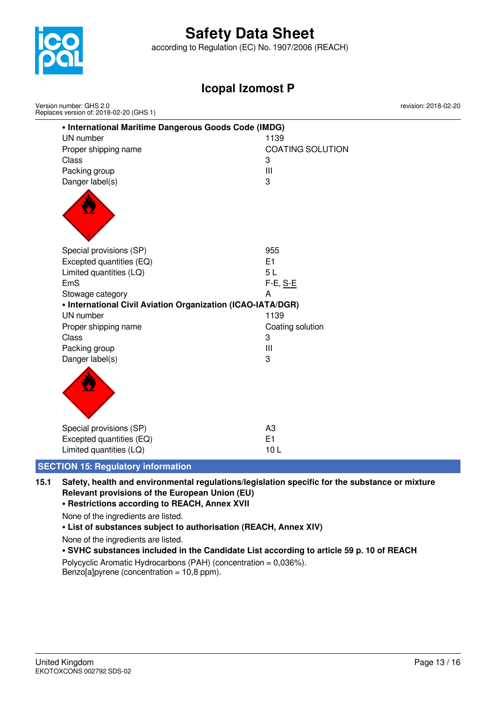

Version number: GHS 2.0

# **Safety Data Sheet**

according to Regulation (EC) No. 1907/2006 (REACH)

## **Icopal Izomost P**

**• International Maritime Dangerous Goods Code (IMDG)** UN number 1139 Proper shipping name COATING SOLUTION Class 3 Packing group III Danger label(s) 3 Special provisions (SP) 955 Excepted quantities (EQ) E1 Limited quantities (LQ) 5 L EmS F-E, S-E Stowage category **A • International Civil Aviation Organization (ICAO-IATA/DGR)** UN number 1139 Proper shipping name Coating solution Class 3 Packing group **III** Danger label(s) 3 Special provisions (SP) and the set of the set of the set of the set of the set of the set of the set of the set of the set of the set of the set of the set of the set of the set of the set of the set of the set of the set Excepted quantities (EQ) E1 Limited quantities (LQ) 10 L Replaces version of: 2018-02-20 (GHS 1)

### **SECTION 15: Regulatory information**

**15.1 Safety, health and environmental regulations/legislation specific for the substance or mixture Relevant provisions of the European Union (EU)**

**• Restrictions according to REACH, Annex XVII**

None of the ingredients are listed.

### **• List of substances subject to authorisation (REACH, Annex XIV)**

None of the ingredients are listed.

### **• SVHC substances included in the Candidate List according to article 59 p. 10 of REACH**

Polycyclic Aromatic Hydrocarbons (PAH) (concentration = 0,036%). Benzo[a]pyrene (concentration =  $10,8$  ppm).

revision: 2018-02-20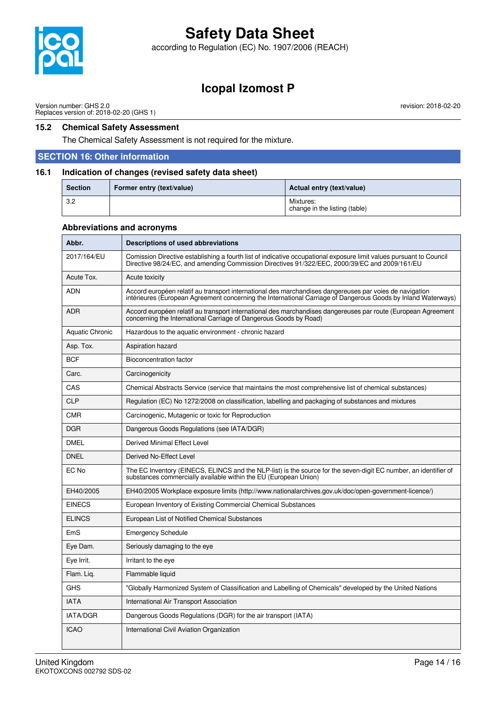

according to Regulation (EC) No. 1907/2006 (REACH)

## **Icopal Izomost P**

Version number: GHS 2.0 Replaces version of: 2018-02-20 (GHS 1)

### **15.2 Chemical Safety Assessment**

The Chemical Safety Assessment is not required for the mixture.

### **SECTION 16: Other information**

### **16.1 Indication of changes (revised safety data sheet)**

| <b>Section</b> | Former entry (text/value) | Actual entry (text/value)                  |
|----------------|---------------------------|--------------------------------------------|
| 3.2            |                           | Mixtures:<br>change in the listing (table) |

#### **Abbreviations and acronyms**

| Abbr.           | Descriptions of used abbreviations                                                                                                                                                                                       |
|-----------------|--------------------------------------------------------------------------------------------------------------------------------------------------------------------------------------------------------------------------|
| 2017/164/EU     | Comission Directive establishing a fourth list of indicative occupational exposure limit values pursuant to Council<br>Directive 98/24/EC, and amending Commission Directives 91/322/EEC, 2000/39/EC and 2009/161/EU     |
| Acute Tox.      | Acute toxicity                                                                                                                                                                                                           |
| <b>ADN</b>      | Accord européen relatif au transport international des marchandises dangereuses par voies de navigation<br>intérieures (European Agreement concerning the International Carriage of Dangerous Goods by Inland Waterways) |
| <b>ADR</b>      | Accord européen relatif au transport international des marchandises dangereuses par route (European Agreement<br>concerning the International Carriage of Dangerous Goods by Road)                                       |
| Aquatic Chronic | Hazardous to the aquatic environment - chronic hazard                                                                                                                                                                    |
| Asp. Tox.       | Aspiration hazard                                                                                                                                                                                                        |
| <b>BCF</b>      | <b>Bioconcentration factor</b>                                                                                                                                                                                           |
| Carc.           | Carcinogenicity                                                                                                                                                                                                          |
| CAS             | Chemical Abstracts Service (service that maintains the most comprehensive list of chemical substances)                                                                                                                   |
| <b>CLP</b>      | Regulation (EC) No 1272/2008 on classification, labelling and packaging of substances and mixtures                                                                                                                       |
| <b>CMR</b>      | Carcinogenic, Mutagenic or toxic for Reproduction                                                                                                                                                                        |
| <b>DGR</b>      | Dangerous Goods Regulations (see IATA/DGR)                                                                                                                                                                               |
| <b>DMEL</b>     | Derived Minimal Effect Level                                                                                                                                                                                             |
| <b>DNEL</b>     | Derived No-Effect Level                                                                                                                                                                                                  |
| EC No           | The EC Inventory (EINECS, ELINCS and the NLP-list) is the source for the seven-digit EC number, an identifier of<br>substances commercially available within the EU (European Union)                                     |
| EH40/2005       | EH40/2005 Workplace exposure limits (http://www.nationalarchives.gov.uk/doc/open-government-licence/)                                                                                                                    |
| <b>EINECS</b>   | European Inventory of Existing Commercial Chemical Substances                                                                                                                                                            |
| <b>ELINCS</b>   | European List of Notified Chemical Substances                                                                                                                                                                            |
| EmS             | <b>Emergency Schedule</b>                                                                                                                                                                                                |
| Eye Dam.        | Seriously damaging to the eye                                                                                                                                                                                            |
| Eye Irrit.      | Irritant to the eye                                                                                                                                                                                                      |
| Flam. Liq.      | Flammable liquid                                                                                                                                                                                                         |
| <b>GHS</b>      | "Globally Harmonized System of Classification and Labelling of Chemicals" developed by the United Nations                                                                                                                |
| <b>IATA</b>     | International Air Transport Association                                                                                                                                                                                  |
| <b>IATA/DGR</b> | Dangerous Goods Regulations (DGR) for the air transport (IATA)                                                                                                                                                           |
| <b>ICAO</b>     | International Civil Aviation Organization                                                                                                                                                                                |

 $\mathbf{I}$ 

revision: 2018-02-20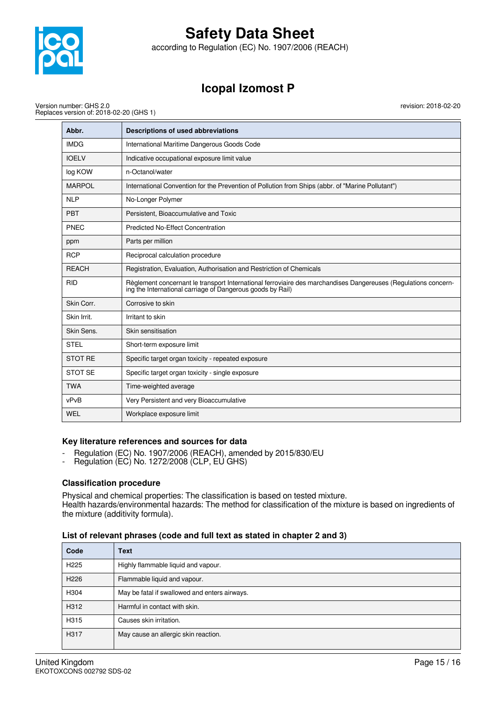

according to Regulation (EC) No. 1907/2006 (REACH)

# **Icopal Izomost P**

revision: 2018-02-20

Version number: GHS 2.0 Replaces version of: 2018-02-20 (GHS 1)

| Abbr.          | Descriptions of used abbreviations                                                                                                                                           |
|----------------|------------------------------------------------------------------------------------------------------------------------------------------------------------------------------|
| <b>IMDG</b>    | International Maritime Dangerous Goods Code                                                                                                                                  |
| <b>IOELV</b>   | Indicative occupational exposure limit value                                                                                                                                 |
| log KOW        | n-Octanol/water                                                                                                                                                              |
| <b>MARPOL</b>  | International Convention for the Prevention of Pollution from Ships (abbr. of "Marine Pollutant")                                                                            |
| <b>NLP</b>     | No-Longer Polymer                                                                                                                                                            |
| <b>PBT</b>     | Persistent, Bioaccumulative and Toxic                                                                                                                                        |
| PNEC           | <b>Predicted No-Effect Concentration</b>                                                                                                                                     |
| ppm            | Parts per million                                                                                                                                                            |
| <b>RCP</b>     | Reciprocal calculation procedure                                                                                                                                             |
| <b>REACH</b>   | Registration, Evaluation, Authorisation and Restriction of Chemicals                                                                                                         |
| <b>RID</b>     | Règlement concernant le transport International ferroviaire des marchandises Dangereuses (Regulations concern-<br>ing the International carriage of Dangerous goods by Rail) |
| Skin Corr.     | Corrosive to skin                                                                                                                                                            |
| Skin Irrit.    | Irritant to skin                                                                                                                                                             |
| Skin Sens.     | Skin sensitisation                                                                                                                                                           |
| <b>STEL</b>    | Short-term exposure limit                                                                                                                                                    |
| <b>STOT RE</b> | Specific target organ toxicity - repeated exposure                                                                                                                           |
| <b>STOT SE</b> | Specific target organ toxicity - single exposure                                                                                                                             |
| <b>TWA</b>     | Time-weighted average                                                                                                                                                        |
| vPvB           | Very Persistent and very Bioaccumulative                                                                                                                                     |
| WEL            | Workplace exposure limit                                                                                                                                                     |

### **Key literature references and sources for data**

- Regulation (EC) No. 1907/2006 (REACH), amended by 2015/830/EU
- Regulation (EC) No. 1272/2008 (CLP, EU GHS)

### **Classification procedure**

Physical and chemical properties: The classification is based on tested mixture. Health hazards/environmental hazards: The method for classification of the mixture is based on ingredients of the mixture (additivity formula).

|  |  | List of relevant phrases (code and full text as stated in chapter 2 and 3) |
|--|--|----------------------------------------------------------------------------|
|--|--|----------------------------------------------------------------------------|

| Code             | <b>Text</b>                                   |
|------------------|-----------------------------------------------|
| H <sub>225</sub> | Highly flammable liquid and vapour.           |
| H <sub>226</sub> | Flammable liquid and vapour.                  |
| H304             | May be fatal if swallowed and enters airways. |
| H312             | Harmful in contact with skin.                 |
| H315             | Causes skin irritation.                       |
| H317             | May cause an allergic skin reaction.          |